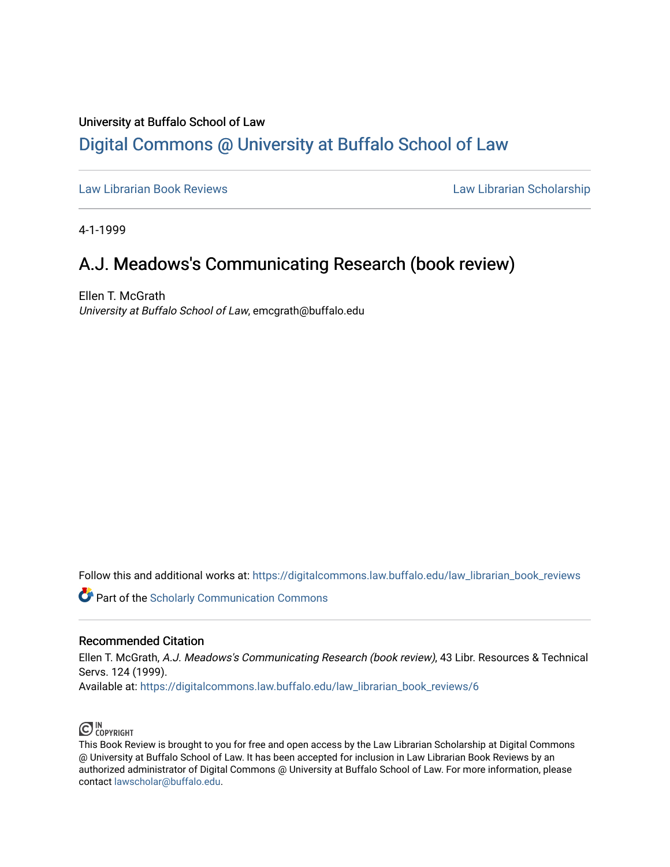## University at Buffalo School of Law [Digital Commons @ University at Buffalo School of Law](https://digitalcommons.law.buffalo.edu/)

[Law Librarian Book Reviews](https://digitalcommons.law.buffalo.edu/law_librarian_book_reviews) Law Librarian Scholarship

4-1-1999

## A.J. Meadows's Communicating Research (book review)

Ellen T. McGrath University at Buffalo School of Law, emcgrath@buffalo.edu

Follow this and additional works at: [https://digitalcommons.law.buffalo.edu/law\\_librarian\\_book\\_reviews](https://digitalcommons.law.buffalo.edu/law_librarian_book_reviews?utm_source=digitalcommons.law.buffalo.edu%2Flaw_librarian_book_reviews%2F6&utm_medium=PDF&utm_campaign=PDFCoverPages) 

**Part of the Scholarly Communication Commons** 

## Recommended Citation

Ellen T. McGrath, A.J. Meadows's Communicating Research (book review), 43 Libr. Resources & Technical Servs. 124 (1999).

Available at: [https://digitalcommons.law.buffalo.edu/law\\_librarian\\_book\\_reviews/6](https://digitalcommons.law.buffalo.edu/law_librarian_book_reviews/6?utm_source=digitalcommons.law.buffalo.edu%2Flaw_librarian_book_reviews%2F6&utm_medium=PDF&utm_campaign=PDFCoverPages) 



This Book Review is brought to you for free and open access by the Law Librarian Scholarship at Digital Commons @ University at Buffalo School of Law. It has been accepted for inclusion in Law Librarian Book Reviews by an authorized administrator of Digital Commons @ University at Buffalo School of Law. For more information, please contact [lawscholar@buffalo.edu.](mailto:lawscholar@buffalo.edu)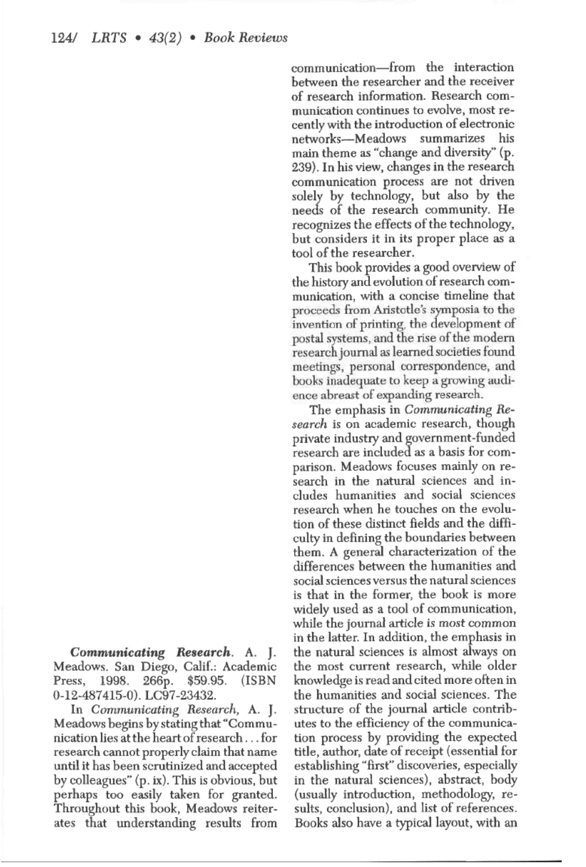of research information. Research communication continues to evolve, most recently with the introduction of electronic networks-Meadows summarizes his main theme as "change and diversity" (p. 239). In his view, changes in the research communication process are not driven solely by technology, but also by the needs of the research community. He recognizes the effects of the technology, but considers it in its proper place as a tool of the researcher.

communication-from the interaction between the researcher and the receiver

This book provides a good overview of the history and evolution of research communication, with a concise timeline that proceeds from Aristotle's symposia to the invention of printing, the development of postal systems, and the rise of the modern research journal as learned societies found meetings, personal oorrespondence, and books inadequate to keep a growing audience abreast of expanding research.

The emphasis in *Communicating Research* is on academic research, though private industry and government-funded research are included as a basis for comparison. Meadows focuses mainly on research in the natural sciences and includes humanities and social sciences research when he touches on the evolution of these distinct fields and the diffi-<br>culty in defining the boundaries between them. A general characterization of the differences between the humanities and social sciences versus the natural sciences is that in the former, the book is more widely used as a tool of communication, while the journal article is most common in the latter. In addition, the emphasis in the natural sciences is almost always on the most current research, while older knowledge is read andcitedmore often in the humanities and social sciences. The structure of the journal article contributes to the efficiency of the communication process by providing the expected title, author, date of receipt (essential for establishing "first" discoveries, especially in the natural sciences), abstract, body (usually introduction, methodology, results, conclusion), and list of references. Books also have a typical layout, with an

*Communicating Research.* A. *].*  Meadows. San Diego, Calif.: Academic Press, 1998. 266p. \$59.95. (ISBN 0-12-487415-0). LC97-23432.

In *Comrrwnicating Research,* A. **J.** Meadows begins by stating that "Communication lies at the heartofresearch . ..for research cannot properly claim that name until it has been scrutinized and accepted by colleagues" (p. ix). This is obvious, but perhaps too easily taken for granted. Throughout this book, Meadows reiterates that understanding results from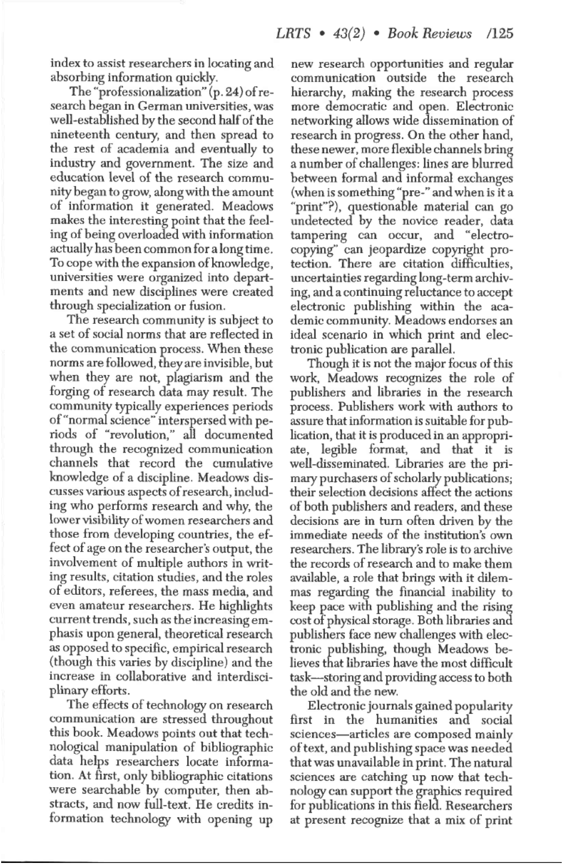index to assist researchers in locating and absorbing information quickly.

The "professionalization"  $(p. 24)$  of research began in German universities, was well-established by the second half of the nineteenth century, and then spread to the rest of academia and eventually to industry and government. The size and education level of the research community began to grow, along with the amount of information it generated. Meadows makes the interesting point that the feeling of being overloaded with information actuallyhas been common for along time. To cope with the expansion of knowledge, universities were organized into departments and new disciplines were created through specialization or fusion.

The research community is subject to a set of social norms that are reflected in the communication process. When these norms are followed, they are invisible, but when they are not, plagiarism and the forging of research data may result. The community typically experiences periods of"normal science» interspersed with periods of "revolution," all documented through the recognized communication channels that record the cumulative knowledge of a discipline. Meadows discusses various aspects ofresearch, including who performs research and why, the lower visibility of women researchers and those from developing countries, the ef~ fect of age on the researcher's output, the involvement of multiple authors in writing results, citation studies, and the roles of editors, referees, the mass media, and even amateur researchers. He highlights current trends, such as theincreasing emphasis upon general, theoretical research as opposed to specific, empirical research (though this varies by discipline) and the increase in collaborative and interdisciplinary efforts.

The effects of technology on research communication are stressed throughout this book. Meadows points out that technological manipulation of bibliographic data helps researchers locate information. At first, only bibliographic citations were searchable by computer, then abstracts, and now full-text. He credits **in**formation technology with opening up new research opportunities and regular communication outside the research hierarchy, making the research process more democratic and open. Electronic networking allows wide dissemination of research in progress. On the other hand, these newer, more flexible channels bring a number of challenges: lines are blurred between formal and informal exchanges (when is something "pre-" and when is it a "print"?), questionable material can go undetected by the novice reader, data tampering can occur, and "electrocopying" can jeopardize copyright protection. There are citation difficulties, uncertainties regarding long-term archiving, and a continuing reluctance to accept electronic publishing within the academic community. Meadows endorses an ideal scenario in which print and electronic publication are parallel.

Though it is not the major focus of this work, Meadows recognizes the role of publishers and libraries in the research process. Publishers work with authors to assure that information is suitable for publication, that it is produced in an appropriate, legible format, and that it is well-disseminated. Libraries are the primary purchasers of scholarly publications; their selection decisions affect the actions of both publishers and readers, and these decisions are in turn often driven by the immediate needs of the institution's own researchers. The library's role is to archive the records of research and to make them available, a role that brings with it dilemmas regarding the financial inability to keep pace with publishing and the rising cost of physical storage. Both libraries and publishers face new challenges with electronic publishing, though Meadows believes that libraries have the most difficult task—storing and providing access to both the old and the new.

Electronic journals gained popularity first in the humanities and social sciences—articles are composed mainly of text, and publishing space was needed that was unavailable in print. The natural sciences are catching up now that technology can support the graphics required for publications in this field. Researchers at present recognize that a mix of print